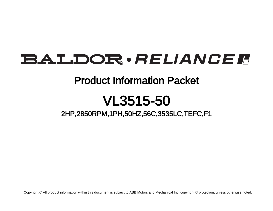# **BALDOR** · RELIANCE F

## Product Information Packet

# VL3515-50

2HP,2850RPM,1PH,50HZ,56C,3535LC,TEFC,F1

Copyright © All product information within this document is subject to ABB Motors and Mechanical Inc. copyright © protection, unless otherwise noted.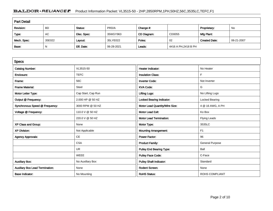### BALDOR · RELIANCE F Product Information Packet: VL3515-50 - 2HP,2850RPM,1PH,50HZ,56C,3535LC,TEFC,F1

| <b>Part Detail</b> |           |             |            |             |                     |                      |            |  |
|--------------------|-----------|-------------|------------|-------------|---------------------|----------------------|------------|--|
| Revision:          | <b>BD</b> | Status:     | PRD/A      | Change #:   |                     | Proprietary:         | No         |  |
| Type:              | AC        | Elec. Spec: | 35WGY963   | CD Diagram: | CD0055              | Mfg Plant:           |            |  |
| Mech. Spec:        | 35E022    | Layout:     | 35LYE022   | Poles:      | 02                  | <b>Created Date:</b> | 06-21-2007 |  |
| Base:              | N         | Eff. Date:  | 06-28-2021 | Leads:      | 4#16 A PH,2#18 B PH |                      |            |  |

| <b>Specs</b>                           |                    |                                  |                        |
|----------------------------------------|--------------------|----------------------------------|------------------------|
| <b>Catalog Number:</b>                 | VL3515-50          | Heater Indicator:                | No Heater              |
| Enclosure:                             | <b>TEFC</b>        | <b>Insulation Class:</b>         | F                      |
| Frame:                                 | 56C                | <b>Inverter Code:</b>            | Not Inverter           |
| <b>Frame Material:</b>                 | Steel              | <b>KVA Code:</b>                 | G                      |
| Motor Letter Type:                     | Cap Start, Cap Run | <b>Lifting Lugs:</b>             | No Lifting Lugs        |
| Output @ Frequency:                    | 2.000 HP @ 50 HZ   | <b>Locked Bearing Indicator:</b> | Locked Bearing         |
| Synchronous Speed @ Frequency:         | 3000 RPM @ 50 HZ   | Motor Lead Quantity/Wire Size:   | 4 @ 16 AWG, A PH       |
| Voltage @ Frequency:                   | 110.0 V @ 50 HZ    | <b>Motor Lead Exit:</b>          | Ko Box                 |
|                                        | 220.0 V @ 50 HZ    | <b>Motor Lead Termination:</b>   | <b>Flying Leads</b>    |
| XP Class and Group:                    | None               | Motor Type:                      | 3535LC                 |
| <b>XP Division:</b>                    | Not Applicable     | <b>Mounting Arrangement:</b>     | F <sub>1</sub>         |
| <b>Agency Approvals:</b>               | <b>CE</b>          | <b>Power Factor:</b>             | 96                     |
|                                        | <b>CSA</b>         | <b>Product Family:</b>           | <b>General Purpose</b> |
|                                        | <b>UR</b>          | <b>Pulley End Bearing Type:</b>  | Ball                   |
|                                        | <b>WEEE</b>        | <b>Pulley Face Code:</b>         | C-Face                 |
| <b>Auxillary Box:</b>                  | No Auxillary Box   | <b>Pulley Shaft Indicator:</b>   | Standard               |
| <b>Auxillary Box Lead Termination:</b> | None               | <b>Rodent Screen:</b>            | None                   |
| <b>Base Indicator:</b>                 | No Mounting        | <b>RoHS Status:</b>              | <b>ROHS COMPLIANT</b>  |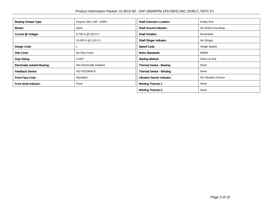| <b>Bearing Grease Type:</b>           | Polyrex EM (-20F +300F)   | <b>Shaft Extension Location:</b>   | Pulley End          |
|---------------------------------------|---------------------------|------------------------------------|---------------------|
| Blower:                               | None                      | <b>Shaft Ground Indicator:</b>     | No Shaft Grounding  |
| Current @ Voltage:                    | 9.700 A @ 220.0 V         | <b>Shaft Rotation:</b>             | Reversible          |
|                                       | 19.400 A @ 110.0 V        | <b>Shaft Slinger Indicator:</b>    | No Slinger          |
| Design Code:                          |                           | <b>Speed Code:</b>                 | Single Speed        |
| Drip Cover:                           | No Drip Cover             | <b>Motor Standards:</b>            | <b>NEMA</b>         |
| Duty Rating:                          | <b>CONT</b>               | <b>Starting Method:</b>            | Direct on line      |
| <b>Electrically Isolated Bearing:</b> | Not Electrically Isolated | Thermal Device - Bearing:          | None                |
| <b>Feedback Device:</b>               | NO FEEDBACK               | <b>Thermal Device - Winding:</b>   | None                |
| <b>Front Face Code:</b>               | Standard                  | <b>Vibration Sensor Indicator:</b> | No Vibration Sensor |
| <b>Front Shaft Indicator:</b>         | None                      | <b>Winding Thermal 1:</b>          | None                |
|                                       |                           | <b>Winding Thermal 2:</b>          | None                |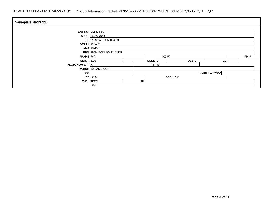| Nameplate NP1372L    |                                  |    |                     |                 |                  |                |  |
|----------------------|----------------------------------|----|---------------------|-----------------|------------------|----------------|--|
|                      | <b>CAT.NO.</b> VL3515-50         |    |                     |                 |                  |                |  |
|                      | <b>SPEC.</b> 35E22Y963           |    |                     |                 |                  |                |  |
|                      | $HP$ 2/1.5KW IEC60034-30         |    |                     |                 |                  |                |  |
|                      | <b>VOLTS</b> 110/220             |    |                     |                 |                  |                |  |
|                      | AMP 19.4/9.7                     |    |                     |                 |                  |                |  |
|                      | <b>RPM</b> 2850 1/MIN IC411 24KG |    |                     |                 |                  |                |  |
| $FRAME$ 56C          | $HZ$ 50                          |    |                     |                 | PH 1             |                |  |
| <b>SER.F.</b> $1.15$ |                                  |    | $CODE$ <sub>G</sub> |                 | DES <sup>I</sup> | CL F           |  |
| NEMA-NOM-EFF 77      |                                  |    | PF 96               |                 |                  |                |  |
|                      | <b>RATING 40C AMB-CONT</b>       |    |                     |                 |                  |                |  |
| CC                   |                                  |    |                     |                 |                  | USABLE AT 208V |  |
|                      | $DE$ 6205                        |    |                     | <b>ODE</b> 6203 |                  |                |  |
| <b>ENCL</b> TEFC     |                                  | SN |                     |                 |                  |                |  |
|                      | IP54                             |    |                     |                 |                  |                |  |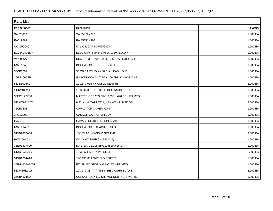| <b>Parts List</b> |                                             |          |  |  |  |  |
|-------------------|---------------------------------------------|----------|--|--|--|--|
| Part Number       | Description                                 | Quantity |  |  |  |  |
| SA023819          | SA 35E22Y963                                | 1.000 EA |  |  |  |  |
| RA019869          | RA 35E22Y963                                | 1.000 EA |  |  |  |  |
| OC3050C09         | CYL OIL CAP 50MFD/240V                      | 1.000 EA |  |  |  |  |
| EC1540A06SP       | ELEC CAP, 540-648 MFD, 125V, 2.06D X 4.     | 1.000 EA |  |  |  |  |
| WD3006A01         | RSS-2-103JT 2W 10K RES. METAL OXIDE 5%      | 1.000 EA |  |  |  |  |
| NS2512A01         | INSULATOR, CONDUIT BOX X                    | 1.000 EA |  |  |  |  |
| 35CB3007          | 35 CB CASTING W/.88 DIA. LEAD HOLE          | 1.000 EA |  |  |  |  |
| 36GS1000SP        | GASKET-CONDUIT BOX, .06 THICK #SV-330 LE    | 1.000 EA |  |  |  |  |
| 51XB1016A07       | 10-16 X 7/16 HXWSSLD SERTYB                 | 2.000 EA |  |  |  |  |
| 11XW1032G06       | 10-32 X .38, TAPTITE II, HEX WSHR SLTD U    | 1.000 EA |  |  |  |  |
| 35EP3122K00       | MASTER ODE, 203 BRG, 683SH, #26 DRN, FH MTG | 1.000 EA |  |  |  |  |
| 51XW0832A07       | 8-32 X .44, TAPTITE II, HEX WSHR SLTD SE    | 2.000 EA |  |  |  |  |
| 35CB3801          | CAPACITOR COVER, CAST                       | 1.000 EA |  |  |  |  |
| 34GS3002          | GASKET, CAPACITOR BOX                       | 1.000 EA |  |  |  |  |
| HA7010            | CAPACITOR RETENTION CLAMP                   | 1.000 EA |  |  |  |  |
| NS2501A02         | INSULATOR, CAPACITOR BOX                    | 1.000 EA |  |  |  |  |
| 51XB1016A08       | 10-16X 1/2HXWSSLD SERTYB                    | 2.000 EA |  |  |  |  |
| HW5100A03         | WAVY WASHER (W1543-017)                     | 1.000 EA |  |  |  |  |
| 35EP3307F00       | MASTER DE, 205 BRG, 998SH, #26 DRN          | 1.000 EA |  |  |  |  |
| 51XN1032A20       | 10-32 X 1 1/4 HX WS SL SR                   | 2.000 EA |  |  |  |  |
| 51XB1214A16       | 12-14X1.00 HXWSSLD SERTYB                   | 1.000 EA |  |  |  |  |
| 35FH4005A32SP     | IEC FH NO GRSR W/3 HOLES - PRIMED           | 1.000 EA |  |  |  |  |
| 51XW1032A06       | 10-32 X .38, TAPTITE II, HEX WSHR SLTD S    | 3.000 EA |  |  |  |  |
| 35CB4521GX        | CONDUIT BOX LID KIT **ORDER INDIV PARTS     | 1.000 EA |  |  |  |  |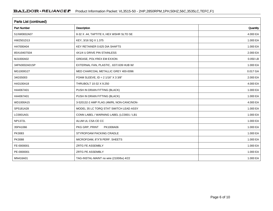| <b>Parts List (continued)</b> |                                             |          |  |  |  |  |
|-------------------------------|---------------------------------------------|----------|--|--|--|--|
| <b>Part Number</b>            | Description                                 | Quantity |  |  |  |  |
| 51XW0832A07                   | 8-32 X .44, TAPTITE II, HEX WSHR SLTD SE    | 4.000 EA |  |  |  |  |
| HW2501D13                     | KEY, 3/16 SQ X 1.375                        | 1.000 EA |  |  |  |  |
| HA7000A04                     | KEY RETAINER 0.625 DIA SHAFTS               | 1.000 EA |  |  |  |  |
| 85XU0407S04                   | 4X1/4 U DRIVE PIN STAINLESS                 | 2.000 EA |  |  |  |  |
| MJ1000A02                     | GREASE, POLYREX EM EXXON                    | 0.050 LB |  |  |  |  |
| 34FN3002A01SP                 | EXTERNAL FAN, PLASTIC, .637/.639 HUB W/     | 1.000 EA |  |  |  |  |
| MG1000G27                     | MED CHARCOAL METALLIC GREY 400-0096         | 0.017 GA |  |  |  |  |
| 34GS5003                      | FOAM SLEEVE, ID = $2 \frac{1}{16}$ X 3 3/8" | 2.000 EA |  |  |  |  |
| HA3100A18                     | THRUBOLT 10-32 X 9.250                      | 4.000 EA |  |  |  |  |
| HA4067A01                     | PUSH IN DRAIN FITTING (BLACK)               | 1.000 EA |  |  |  |  |
| HA4067A01                     | PUSH IN DRAIN FITTING (BLACK)               | 1.000 EA |  |  |  |  |
| WD1000A15                     | 3-520132-2 AMP FLAG (4M/RL NON-CANC/NON-    | 4.000 EA |  |  |  |  |
| SP5181A28                     | MODEL 35 LC TORQ STAT SWITCH LEAD ASSY      | 1.000 EA |  |  |  |  |
| LC0001A01                     | CONN LABEL / WARNING LABEL (LC0001 / LB1    | 1.000 EA |  |  |  |  |
| NP1372L                       | ALUM UL CSA CE CC                           | 1.000 EA |  |  |  |  |
| 35PA1066                      | PKG GRP, PRINT<br>PK1008A06                 | 1.000 EA |  |  |  |  |
| PK3083                        | STYROFOAM PACKING CRADLE                    | 1.000 EA |  |  |  |  |
| PK3088                        | MICROFOAM, 8"X"8 PERF. SHEETS               | 1.000 EA |  |  |  |  |
| FE-0000001                    | ZRTG FE ASSEMBLY                            | 1.000 EA |  |  |  |  |
| PE-0000001                    | ZRTG PE ASSEMBLY                            | 1.000 EA |  |  |  |  |
| MN416A01                      | TAG-INSTAL-MAINT no wire (2100/bx) 4/22     | 1.000 EA |  |  |  |  |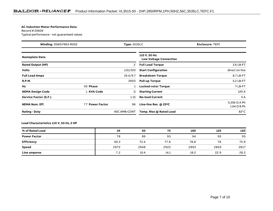#### **AC Induction Motor Performance Data**

Record # 20609Typical performance - not guaranteed values

| Winding: 35WGY963-R002<br><b>Type: 3535LC</b> |                 |              | <b>Enclosure: TEFC</b>                         |                                             |  |  |
|-----------------------------------------------|-----------------|--------------|------------------------------------------------|---------------------------------------------|--|--|
| <b>Nameplate Data</b>                         |                 |              | 110 V, 50 Hz:<br><b>Low Voltage Connection</b> |                                             |  |  |
| <b>Rated Output (HP)</b>                      |                 | 2            | <b>Full Load Torque</b>                        | 3.6 LB-FT                                   |  |  |
| <b>Volts</b>                                  |                 | 110/220      | <b>Start Configuration</b>                     | direct on line                              |  |  |
| <b>Full Load Amps</b>                         |                 | 19.4/9.7     | <b>Breakdown Torque</b>                        | 8.7 LB-FT                                   |  |  |
| R.P.M.                                        |                 | 2850         | <b>Pull-up Torque</b>                          | 5.2 LB-FT                                   |  |  |
| Hz                                            | 50 Phase        |              | Locked-rotor Torque                            | 7 LB-FT                                     |  |  |
| <b>NEMA Design Code</b>                       | L KVA Code      | G            | <b>Starting Current</b>                        | 120 A                                       |  |  |
| Service Factor (S.F.)                         |                 | 1.15         | <b>No-load Current</b>                         | 5A                                          |  |  |
| <b>NEMA Nom. Eff.</b>                         | 77 Power Factor | 96           | Line-line Res. @ 25°C                          | $0.256$ $\Omega$ A Ph<br>$1.64 \Omega$ B Ph |  |  |
| <b>Rating - Duty</b>                          |                 | 40C AMB-CONT | Temp. Rise @ Rated Load                        | $82^{\circ}$ C                              |  |  |

### **Load Characteristics 110 V, 50 Hz, 2 HP**

| % of Rated Load     | 25   | 50   | 75   | 100  | 125  | 150  |
|---------------------|------|------|------|------|------|------|
| <b>Power Factor</b> | 78   | 89   | 93   | 94   | 95   | 95   |
| <b>Efficiency</b>   | 60.3 | 73.4 | 77.8 | 78.8 | 78   | 75.9 |
| <b>Speed</b>        | 2972 | 2948 | 2922 | 2893 | 2859 | 2817 |
| <b>Line amperes</b> | 7.2  | 10.4 | 14.1 | 18.2 | 22.9 | 28.2 |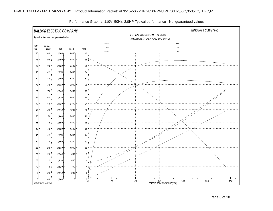

Performance Graph at 110V, 50Hz, 2.0HP Typical performance - Not guaranteed values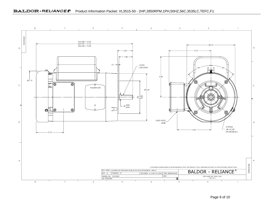